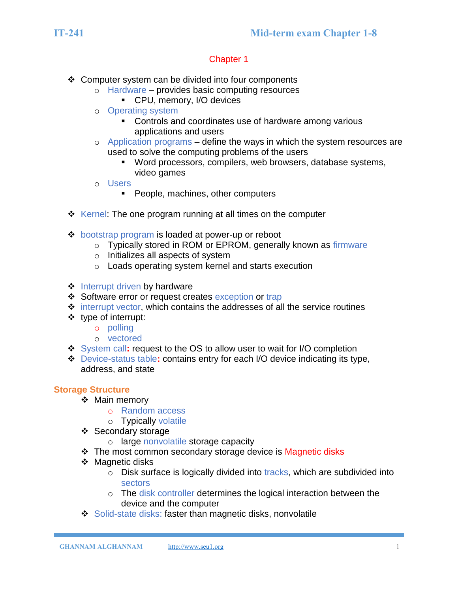- ❖ Computer system can be divided into four components
	- o Hardware provides basic computing resources
		- CPU, memory, I/O devices
	- o Operating system
		- Controls and coordinates use of hardware among various applications and users
	- $\circ$  Application programs define the ways in which the system resources are used to solve the computing problems of the users
		- Word processors, compilers, web browsers, database systems, video games
	- o Users
		- People, machines, other computers
- ❖ Kernel: The one program running at all times on the computer
- ❖ bootstrap program is loaded at power-up or reboot
	- o Typically stored in ROM or EPROM, generally known as firmware
	- o Initializes all aspects of system
	- o Loads operating system kernel and starts execution
- ❖ Interrupt driven by hardware
- ❖ Software error or request creates exception or trap
- ❖ interrupt vector, which contains the addresses of all the service routines
- ❖ type of interrupt:
	- o polling
	- o vectored
- ❖ System call**:** request to the OS to allow user to wait for I/O completion
- ❖ Device-status table**:** contains entry for each I/O device indicating its type, address, and state

## **Storage Structure**

- ❖ Main memory
	- o Random access
	- o Typically volatile
- ❖ Secondary storage
	- o large nonvolatile storage capacity
- ❖ The most common secondary storage device is Magnetic disks
- ❖ Magnetic disks
	- o Disk surface is logically divided into tracks, which are subdivided into sectors
	- o The disk controller determines the logical interaction between the device and the computer
- ❖ Solid-state disks: faster than magnetic disks, nonvolatile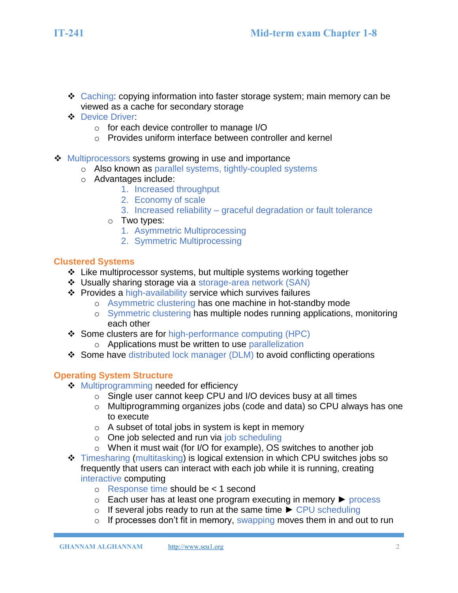- ❖ Caching: copying information into faster storage system; main memory can be viewed as a cache for secondary storage
- ❖ Device Driver:
	- o for each device controller to manage I/O
	- o Provides uniform interface between controller and kernel
- ❖ Multiprocessors systems growing in use and importance
	- o Also known as parallel systems, tightly-coupled systems
	- o Advantages include:
		- 1. Increased throughput
		- 2. Economy of scale
		- 3. Increased reliability graceful degradation or fault tolerance
		- o Two types:
			- 1. Asymmetric Multiprocessing
			- 2. Symmetric Multiprocessing

#### **Clustered Systems**

- ❖ Like multiprocessor systems, but multiple systems working together
- ❖ Usually sharing storage via a storage-area network (SAN)
- ❖ Provides a high-availability service which survives failures
	- o Asymmetric clustering has one machine in hot-standby mode
	- o Symmetric clustering has multiple nodes running applications, monitoring each other
- ❖ Some clusters are for high-performance computing (HPC)
	- o Applications must be written to use parallelization
- ❖ Some have distributed lock manager (DLM) to avoid conflicting operations

## **Operating System Structure**

- **❖** Multiprogramming needed for efficiency
	- o Single user cannot keep CPU and I/O devices busy at all times
	- o Multiprogramming organizes jobs (code and data) so CPU always has one to execute
	- $\circ$  A subset of total jobs in system is kept in memory
	- o One job selected and run via job scheduling
	- o When it must wait (for I/O for example), OS switches to another job
- ❖ Timesharing (multitasking) is logical extension in which CPU switches jobs so frequently that users can interact with each job while it is running, creating interactive computing
	- o Response time should be < 1 second
	- o Each user has at least one program executing in memory ► process
	- o If several jobs ready to run at the same time ► CPU scheduling
	- $\circ$  If processes don't fit in memory, swapping moves them in and out to run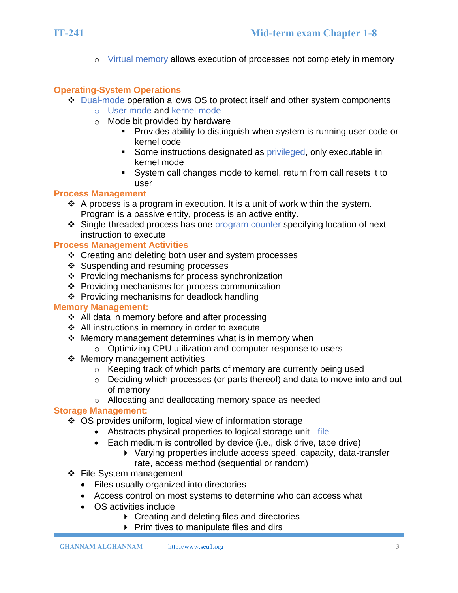o Virtual memory allows execution of processes not completely in memory

#### **Operating-System Operations**

- ❖ Dual-mode operation allows OS to protect itself and other system components
	- o User mode and kernel mode
	- o Mode bit provided by hardware
		- Provides ability to distinguish when system is running user code or kernel code
		- Some instructions designated as privileged, only executable in kernel mode
		- System call changes mode to kernel, return from call resets it to user

#### **Process Management**

- $\div$  A process is a program in execution. It is a unit of work within the system. Program is a passive entity, process is an active entity.
- ❖ Single-threaded process has one program counter specifying location of next instruction to execute

## **Process Management Activities**

- ❖ Creating and deleting both user and system processes
- ❖ Suspending and resuming processes
- ❖ Providing mechanisms for process synchronization
- ❖ Providing mechanisms for process communication
- ❖ Providing mechanisms for deadlock handling

#### **Memory Management:**

- ❖ All data in memory before and after processing
- ❖ All instructions in memory in order to execute
- ❖ Memory management determines what is in memory when
	- o Optimizing CPU utilization and computer response to users
- ❖ Memory management activities
	- o Keeping track of which parts of memory are currently being used
	- o Deciding which processes (or parts thereof) and data to move into and out of memory
	- o Allocating and deallocating memory space as needed

## **Storage Management:**

- ❖ OS provides uniform, logical view of information storage
	- Abstracts physical properties to logical storage unit file
	- Each medium is controlled by device (i.e., disk drive, tape drive)
		- Varying properties include access speed, capacity, data-transfer rate, access method (sequential or random)
- ❖ File-System management
	- Files usually organized into directories
	- Access control on most systems to determine who can access what
	- OS activities include
		- ▶ Creating and deleting files and directories
			- $\triangleright$  Primitives to manipulate files and dirs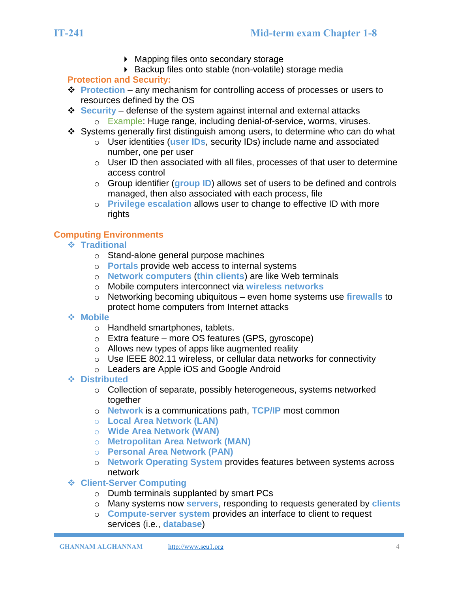**GHANNAM ALGHANNAM** [http://www.seu1.org](http://www.seu1.org/) 4

- **IT-241 Mid-term exam Chapter 1-8**
	- ▶ Mapping files onto secondary storage
	- Backup files onto stable (non-volatile) storage media

# **Protection and Security:**

- ❖ **Protection** any mechanism for controlling access of processes or users to resources defined by the OS
- ❖ **Security** defense of the system against internal and external attacks o Example: Huge range, including denial-of-service, worms, viruses.
- ❖ Systems generally first distinguish among users, to determine who can do what
	- o User identities (**user IDs**, security IDs) include name and associated number, one per user
	- $\circ$  User ID then associated with all files, processes of that user to determine access control
	- o Group identifier (**group ID**) allows set of users to be defined and controls managed, then also associated with each process, file
	- o **Privilege escalation** allows user to change to effective ID with more rights

## **Computing Environments**

- ❖ **Traditional**
	- o Stand-alone general purpose machines
	- o **Portals** provide web access to internal systems
	- o **Network computers** (**thin clients**) are like Web terminals
	- o Mobile computers interconnect via **wireless networks**
	- o Networking becoming ubiquitous even home systems use **firewalls** to protect home computers from Internet attacks
- ❖ **Mobile**
	- o Handheld smartphones, tablets.
	- o Extra feature more OS features (GPS, gyroscope)
	- o Allows new types of apps like augmented reality
	- o Use IEEE 802.11 wireless, or cellular data networks for connectivity
	- o Leaders are Apple iOS and Google Android
- ❖ **Distributed**
	- o Collection of separate, possibly heterogeneous, systems networked together
	- o **Network** is a communications path, **TCP/IP** most common
	- o **Local Area Network (LAN)**
	- o **Wide Area Network (WAN)**
	- o **Metropolitan Area Network (MAN)**
	- o **Personal Area Network (PAN)**
	- o **Network Operating System** provides features between systems across network
- ❖ **Client-Server Computing**
	- o Dumb terminals supplanted by smart PCs
	- o Many systems now **servers**, responding to requests generated by **clients**
	- o **Compute-server system** provides an interface to client to request services (i.e., **database**)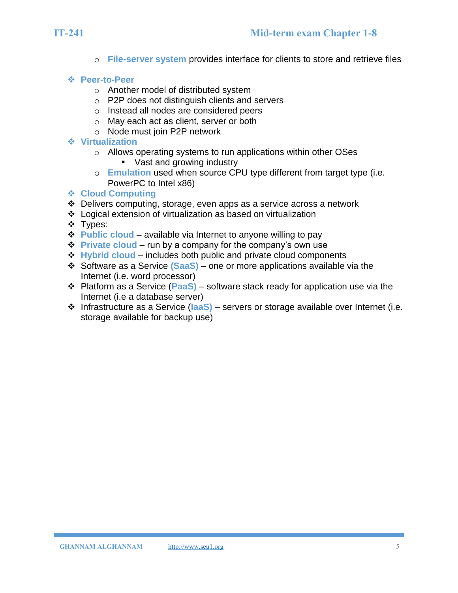o **File-server system** provides interface for clients to store and retrieve files

#### ❖ **Peer-to-Peer**

- o Another model of distributed system
- o P2P does not distinguish clients and servers
- o Instead all nodes are considered peers
- o May each act as client, server or both
- o Node must join P2P network
- ❖ **Virtualization**
	- o Allows operating systems to run applications within other OSes ■ Vast and growing industry
	- o **Emulation** used when source CPU type different from target type (i.e. PowerPC to Intel x86)

#### ❖ **Cloud Computing**

- ❖ Delivers computing, storage, even apps as a service across a network
- ❖ Logical extension of virtualization as based on virtualization
- ❖ Types:
- ❖ **Public cloud** available via Internet to anyone willing to pay
- ❖ **Private cloud** run by a company for the company's own use
- **❖ Hybrid cloud** includes both public and private cloud components
- ❖ Software as a Service **(SaaS)**  one or more applications available via the Internet (i.e. word processor)
- ❖ Platform as a Service (**PaaS)** software stack ready for application use via the Internet (i.e a database server)
- ❖ Infrastructure as a Service (**IaaS)** servers or storage available over Internet (i.e. storage available for backup use)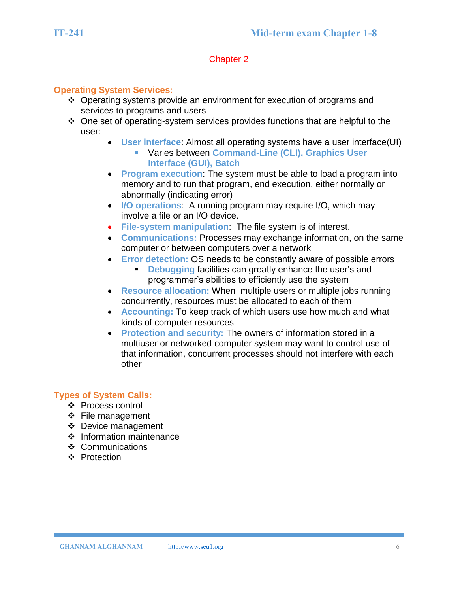#### **Operating System Services:**

- ❖ Operating systems provide an environment for execution of programs and services to programs and users
- ❖ One set of operating-system services provides functions that are helpful to the user:
	- **User interface**: Almost all operating systems have a user interface(UI)
		- Varies between **Command-Line (CLI), Graphics User Interface (GUI), Batch**
	- **Program execution**: The system must be able to load a program into memory and to run that program, end execution, either normally or abnormally (indicating error)
	- **I/O operations**: A running program may require I/O, which may involve a file or an I/O device.
	- **File-system manipulation**: The file system is of interest.
	- **Communications:** Processes may exchange information, on the same computer or between computers over a network
	- **Error detection:** OS needs to be constantly aware of possible errors **• Debugging facilities can greatly enhance the user's and** programmer's abilities to efficiently use the system
	- **Resource allocation:** When multiple users or multiple jobs running concurrently, resources must be allocated to each of them
	- **Accounting:** To keep track of which users use how much and what kinds of computer resources
	- **Protection and security:** The owners of information stored in a multiuser or networked computer system may want to control use of that information, concurrent processes should not interfere with each other

## **Types of System Calls:**

- ❖ Process control
- ❖ File management
- ❖ Device management
- ❖ Information maintenance
- ❖ Communications
- ❖ Protection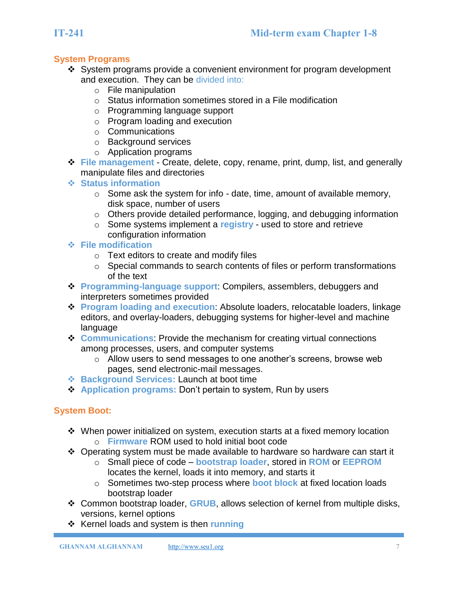## **System Programs**

- ❖ System programs provide a convenient environment for program development and execution. They can be divided into:
	- o File manipulation
	- o Status information sometimes stored in a File modification
	- o Programming language support
	- o Program loading and execution
	- o Communications
	- o Background services
	- o Application programs
- ❖ **File management**  Create, delete, copy, rename, print, dump, list, and generally manipulate files and directories
- ❖ **Status information**
	- $\circ$  Some ask the system for info date, time, amount of available memory, disk space, number of users
	- o Others provide detailed performance, logging, and debugging information
	- o Some systems implement a **registry** used to store and retrieve configuration information
- ❖ **File modification**
	- o Text editors to create and modify files
	- o Special commands to search contents of files or perform transformations of the text
- ❖ **Programming-language support**: Compilers, assemblers, debuggers and interpreters sometimes provided
- ❖ **Program loading and execution**: Absolute loaders, relocatable loaders, linkage editors, and overlay-loaders, debugging systems for higher-level and machine language
- ❖ **Communications**: Provide the mechanism for creating virtual connections among processes, users, and computer systems
	- o Allow users to send messages to one another's screens, browse web pages, send electronic-mail messages.
- ❖ **Background Services:** Launch at boot time
- ❖ **Application programs:** Don't pertain to system, Run by users

# **System Boot:**

- ❖ When power initialized on system, execution starts at a fixed memory location o **Firmware** ROM used to hold initial boot code
- ❖ Operating system must be made available to hardware so hardware can start it
	- o Small piece of code **bootstrap loader**, stored in **ROM** or **EEPROM** locates the kernel, loads it into memory, and starts it
	- o Sometimes two-step process where **boot block** at fixed location loads bootstrap loader
- ❖ Common bootstrap loader, **GRUB**, allows selection of kernel from multiple disks, versions, kernel options
- ❖ Kernel loads and system is then **running**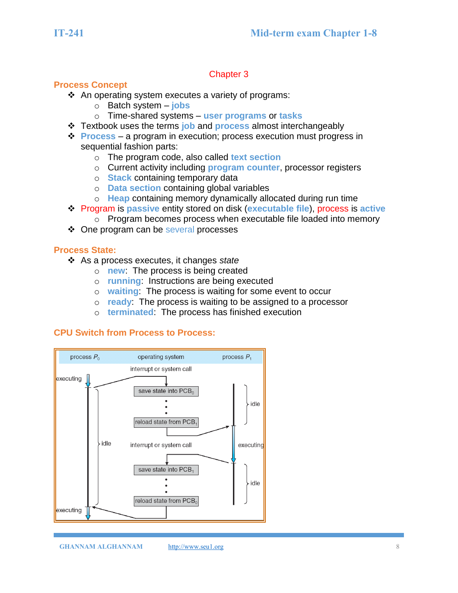#### **Process Concept**

- ❖ An operating system executes a variety of programs:
	- o Batch system **jobs**
	- o Time-shared systems **user programs** or **tasks**
- ❖ Textbook uses the terms **job** and **process** almost interchangeably
- ❖ **Process** a program in execution; process execution must progress in sequential fashion parts:
	- o The program code, also called **text section**
	- o Current activity including **program counter**, processor registers
	- o **Stack** containing temporary data
	- o **Data section** containing global variables
	- o **Heap** containing memory dynamically allocated during run time
- ❖ Program is **passive** entity stored on disk (**executable file**), process is **active**
	- o Program becomes process when executable file loaded into memory
- ❖ One program can be several processes

#### **Process State:**

- ❖ As a process executes, it changes *state*
	- o **new**: The process is being created
	- o **running**: Instructions are being executed
	- o **waiting**: The process is waiting for some event to occur
	- o **ready**: The process is waiting to be assigned to a processor
	- o **terminated**: The process has finished execution

## **CPU Switch from Process to Process:**

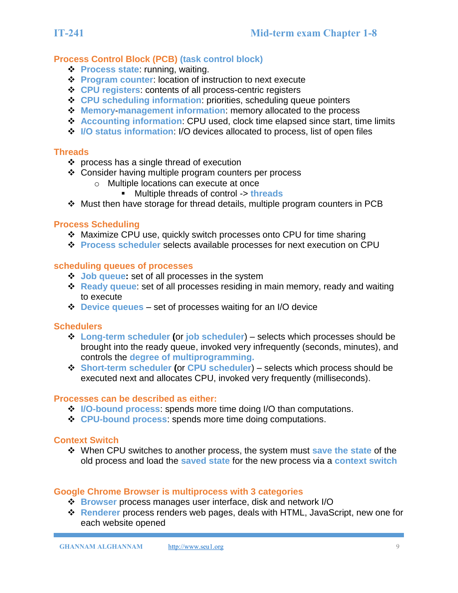# **Process Control Block (PCB) (task control block)**

- ❖ **Process state**: running, waiting.
- ❖ **Program counter**: location of instruction to next execute
- ❖ **CPU registers**: contents of all process-centric registers
- ❖ **CPU scheduling information**: priorities, scheduling queue pointers
- ❖ **Memory**-**management information**: memory allocated to the process
- ❖ **Accounting information**: CPU used, clock time elapsed since start, time limits
- ❖ **I/O status information**: I/O devices allocated to process, list of open files

#### **Threads**

- ❖ process has a single thread of execution
- ❖ Consider having multiple program counters per process
	- o Multiple locations can execute at once
		- Multiple threads of control -> **threads**
- ❖ Must then have storage for thread details, multiple program counters in PCB

#### **Process Scheduling**

- ❖ Maximize CPU use, quickly switch processes onto CPU for time sharing
- ❖ **Process scheduler** selects available processes for next execution on CPU

#### **scheduling queues of processes**

- ❖ **Job queue:** set of all processes in the system
- ❖ **Ready queue**: set of all processes residing in main memory, ready and waiting to execute
- ❖ **Device queues** set of processes waiting for an I/O device

#### **Schedulers**

- ❖ **Long-term scheduler (**or **job scheduler**) selects which processes should be brought into the ready queue, invoked very infrequently (seconds, minutes), and controls the **degree of multiprogramming.**
- ❖ **Short-term scheduler (**or **CPU scheduler**) selects which process should be executed next and allocates CPU, invoked very frequently (milliseconds).

#### **Processes can be described as either:**

- ❖ **I/O-bound process**: spends more time doing I/O than computations.
- ❖ **CPU-bound process**: spends more time doing computations.

#### **Context Switch**

❖ When CPU switches to another process, the system must **save the state** of the old process and load the **saved state** for the new process via a **context switch**

#### **Google Chrome Browser is multiprocess with 3 categories**

- ❖ **Browser** process manages user interface, disk and network I/O
- ❖ **Renderer** process renders web pages, deals with HTML, JavaScript, new one for each website opened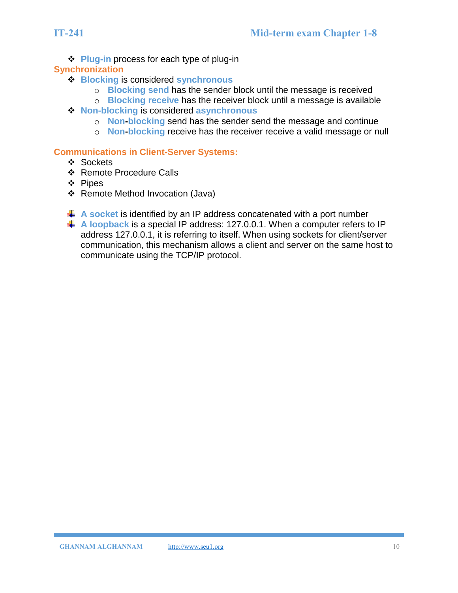❖ **Plug-in** process for each type of plug-in

#### **Synchronization**

- ❖ **Blocking** is considered **synchronous**
	- o **Blocking send** has the sender block until the message is received
	- o **Blocking receive** has the receiver block until a message is available
- ❖ **Non-blocking** is considered **asynchronous**
	- o **Non-blocking** send has the sender send the message and continue
	- o **Non-blocking** receive has the receiver receive a valid message or null

#### **Communications in Client-Server Systems:**

- ❖ Sockets
- ❖ Remote Procedure Calls
- ❖ Pipes
- ❖ Remote Method Invocation (Java)
- A socket is identified by an IP address concatenated with a port number
- **A loopback** is a special IP address: 127.0.0.1. When a computer refers to IP address 127.0.0.1, it is referring to itself. When using sockets for client/server communication, this mechanism allows a client and server on the same host to communicate using the TCP/IP protocol.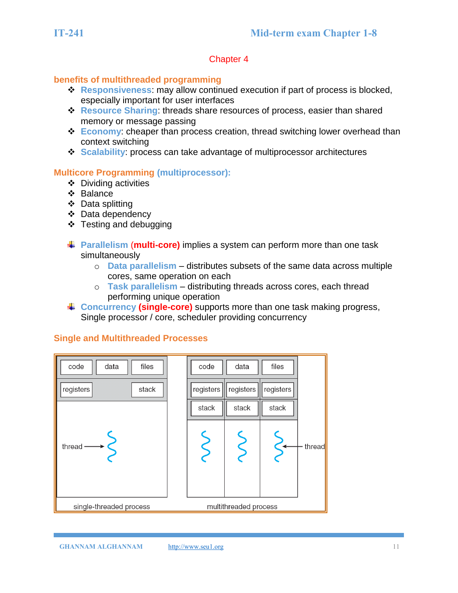#### **benefits of multithreaded programming**

- ❖ **Responsiveness**: may allow continued execution if part of process is blocked, especially important for user interfaces
- ❖ **Resource Sharing**: threads share resources of process, easier than shared memory or message passing
- ❖ **Economy**: cheaper than process creation, thread switching lower overhead than context switching
- ❖ **Scalability**: process can take advantage of multiprocessor architectures

#### **Multicore Programming (multiprocessor):**

- ❖ Dividing activities
- ❖ Balance
- ❖ Data splitting
- ❖ Data dependency
- ❖ Testing and debugging
- **Parallelism** (**multi-core)** implies a system can perform more than one task simultaneously
	- o **Data parallelism** distributes subsets of the same data across multiple cores, same operation on each
	- o **Task parallelism** distributing threads across cores, each thread performing unique operation
- **↓ Concurrency (single-core)** supports more than one task making progress, Single processor / core, scheduler providing concurrency

# **Single and Multithreaded Processes**

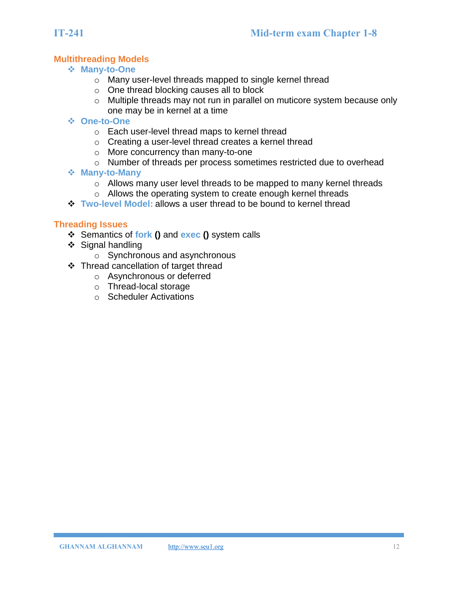### **Multithreading Models**

- ❖ **Many-to-One**
	- o Many user-level threads mapped to single kernel thread
	- o One thread blocking causes all to block
	- o Multiple threads may not run in parallel on muticore system because only one may be in kernel at a time
- ❖ **One-to-One**
	- o Each user-level thread maps to kernel thread
	- o Creating a user-level thread creates a kernel thread
	- o More concurrency than many-to-one
	- o Number of threads per process sometimes restricted due to overhead
- ❖ **Many-to-Many**
	- o Allows many user level threads to be mapped to many kernel threads
	- o Allows the operating system to create enough kernel threads
- ❖ **Two-level Model:** allows a user thread to be bound to kernel thread

#### **Threading Issues**

- ❖ Semantics of **fork ()** and **exec ()** system calls
- ❖ Signal handling
	- o Synchronous and asynchronous
- ❖ Thread cancellation of target thread
	- o Asynchronous or deferred
	- o Thread-local storage
	- o Scheduler Activations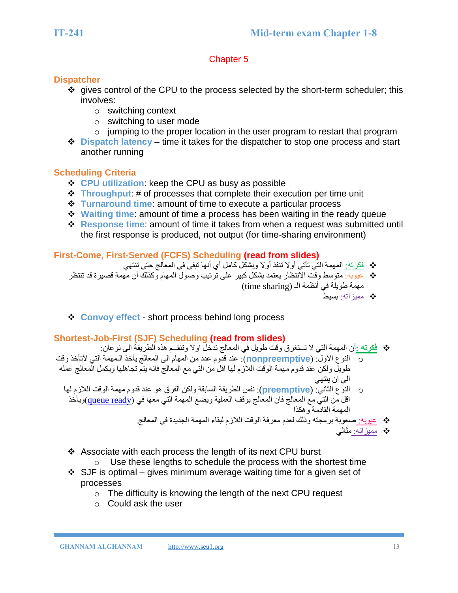## **Dispatcher**

- ❖ gives control of the CPU to the process selected by the short-term scheduler; this involves:
	- o switching context
	- o switching to user mode
	- $\circ$  jumping to the proper location in the user program to restart that program
- ❖ **Dispatch latency** time it takes for the dispatcher to stop one process and start another running

# **Scheduling Criteria**

- ❖ **CPU utilization**: keep the CPU as busy as possible
- ❖ **Throughput**: # of processes that complete their execution per time unit
- ❖ **Turnaround time**: amount of time to execute a particular process
- ❖ **Waiting time**: amount of time a process has been waiting in the ready queue
- ❖ **Response time**: amount of time it takes from when a request was submitted until the first response is produced, not output (for time-sharing environment)

# **First-Come, First-Served (FCFS) Scheduling (read from slides)**

- ❖ فكرته: المهمة التي تأتي أوال تنفذ أوال وبشكل كامل أي أنها تبقى في المعالج حتى تنتهي
- ❖ عيوبه: متوسط وقت االنتظار يعتمد بشكل كبير على ترتيب وصول المهام وكذلك أن مهمة قصيرة قد تنتظر مهمة طويلة في أنظمة الـ (time sharing)
	- ❖ مميزاته: بسيط
- ❖ **Convoy effect** short process behind long process

# **Shortest-Job-First (SJF) Scheduling (read from slides)**

- ❖ **فكرته :**أن المهمة التي ال تستغرق وقت طويل في المعالج تدخل اوال وتنقسم هذه الطريقة الى نوعان:
- o النوع االول: )**nonpreemptive**): عند قدوم عدد من المهام الى المعالج يأخذ الـمهمة التي ألتأخذ وقت طويل ولكن عند قدوم مهمة الوقت الالزم لها اقل من التي مع المعالج فانه يتم تجاهلها ويكمل المعالج عمله الى ان ينتهي
	- o النوع الثاني: (**preemptive**(: نفس الطريقة السابقة ولكن الفرق هو عند قدوم مهمة الوقت الالزم لها اقل من التي مع المعالج فان المعالج يوقف العملية ويضع المهمة التي معها في (<u>queue ready</u>)ويأخذ المهمة القادمة وهكذا
		- ❖ عيوبه: صعوبة برمجته وذلك لعدم معرفة الوقت الالزم لبقاء المهمة الجديدة في المعالج.
			- ❖ مميزاته: مثالي
		- ❖ Associate with each process the length of its next CPU burst
			- $\circ$  Use these lengths to schedule the process with the shortest time
		- $\div$  SJF is optimal gives minimum average waiting time for a given set of processes
			- o The difficulty is knowing the length of the next CPU request
			- o Could ask the user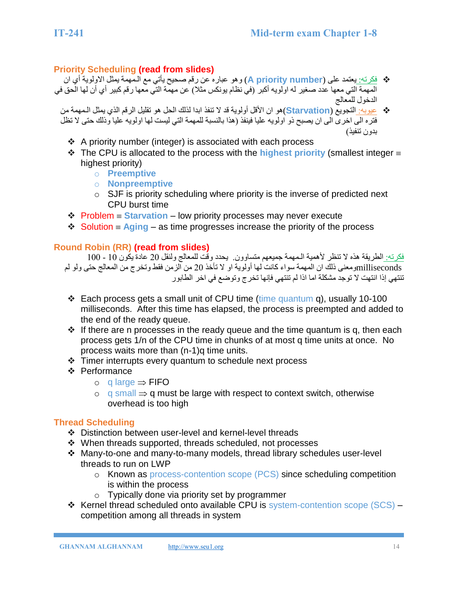# **Priority Scheduling (read from slides)**

- ❖ فكرته: يعتمد على (**number priority A** (وهو عباره عن رقم صحيح يأتي مع الـمهمة يمثل االولوية أي ان المهمة التي معها عدد صغير له اولويه أكبر )في نظام يونكس مثال( عن مهمة التي معها رقم كبير أي أن لها الحق في الدخول للمعالج
	- ❖ عيوبه: التجويع (**Starvation**(هو ان األقل أولوية قد ال تنفذ ابدا لذلك الحل هو تقليل الرقم الذي يمثل الـمهمة من فتره الى اخرى الى ان يصبح ذو اولويه عليا فينفذ (هذا بالنسبة للمهمة التي ليست لها اولويه عليا وذلك حتى لا تظل بدون تنفيذ(
		- ❖ A priority number (integer) is associated with each process
		- ❖ The CPU is allocated to the process with the **highest priority** (smallest integer highest priority)
			- o **Preemptive**
			- o **Nonpreemptive**
			- $\circ$  SJF is priority scheduling where priority is the inverse of predicted next CPU burst time
		- ❖ Problem **Starvation** low priority processes may never execute
		- $\triangle$  Solution  $\equiv$  Aging as time progresses increase the priority of the process

# **Round Robin (RR) (read from slides)**

فكرته: الطريقة هذه ال تنظر ألهمية الـمهمة جميعهم متساوون. يحدد وقت للمعالج ولنقل 20 عادة يكون 10 - 100 millisecondsومعنى ذلك ان المهمة سواء كانت لها أولوية او لا تأخذ 20 من الزمن فقط وتخرج من المعالج حتى ولو لم تنتهي إذا انتهت لا توجد مشكلة اما اذا لم تنتهي فإنها تخرج وتوضع في اخر الطابور

- ❖ Each process gets a small unit of CPU time (time quantum q), usually 10-100 milliseconds. After this time has elapsed, the process is preempted and added to the end of the ready queue.
- $\div$  If there are n processes in the ready queue and the time quantum is q, then each process gets 1/n of the CPU time in chunks of at most q time units at once. No process waits more than (n-1)q time units.
- ❖ Timer interrupts every quantum to schedule next process
- ❖ Performance
	- $\circ$  q large  $\Rightarrow$  FIFO
	- $\circ$  q small  $\Rightarrow$  q must be large with respect to context switch, otherwise overhead is too high

# **Thread Scheduling**

- ❖ Distinction between user-level and kernel-level threads
- ❖ When threads supported, threads scheduled, not processes
- ❖ Many-to-one and many-to-many models, thread library schedules user-level threads to run on LWP
	- o Known as process-contention scope (PCS) since scheduling competition is within the process
	- o Typically done via priority set by programmer
- ❖ Kernel thread scheduled onto available CPU is system-contention scope (SCS) competition among all threads in system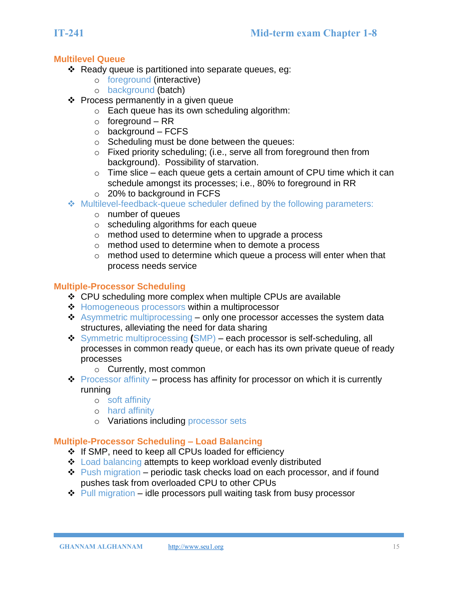#### **Multilevel Queue**

- ❖ Ready queue is partitioned into separate queues, eg:
	- o foreground (interactive)
	- o background (batch)
- ❖ Process permanently in a given queue
	- o Each queue has its own scheduling algorithm:
	- $\circ$  foreground RR
	- $\circ$  background FCFS
	- o Scheduling must be done between the queues:
	- o Fixed priority scheduling; (i.e., serve all from foreground then from background). Possibility of starvation.
	- $\circ$  Time slice each queue gets a certain amount of CPU time which it can schedule amongst its processes; i.e., 80% to foreground in RR
	- o 20% to background in FCFS
- ❖ Multilevel-feedback-queue scheduler defined by the following parameters:
	- o number of queues
	- o scheduling algorithms for each queue
	- o method used to determine when to upgrade a process
	- o method used to determine when to demote a process
	- o method used to determine which queue a process will enter when that process needs service

#### **Multiple-Processor Scheduling**

- ❖ CPU scheduling more complex when multiple CPUs are available
- **❖** Homogeneous processors within a multiprocessor
- ❖ Asymmetric multiprocessing only one processor accesses the system data structures, alleviating the need for data sharing
- ❖ Symmetric multiprocessing **(**SMP) each processor is self-scheduling, all processes in common ready queue, or each has its own private queue of ready processes
	- o Currently, most common
- ❖ Processor affinity process has affinity for processor on which it is currently running
	- o soft affinity
	- o hard affinity
	- o Variations including processor sets

## **Multiple-Processor Scheduling – Load Balancing**

- ❖ If SMP, need to keep all CPUs loaded for efficiency
- ❖ Load balancing attempts to keep workload evenly distributed
- ❖ Push migration periodic task checks load on each processor, and if found pushes task from overloaded CPU to other CPUs
- $\div$  Pull migration idle processors pull waiting task from busy processor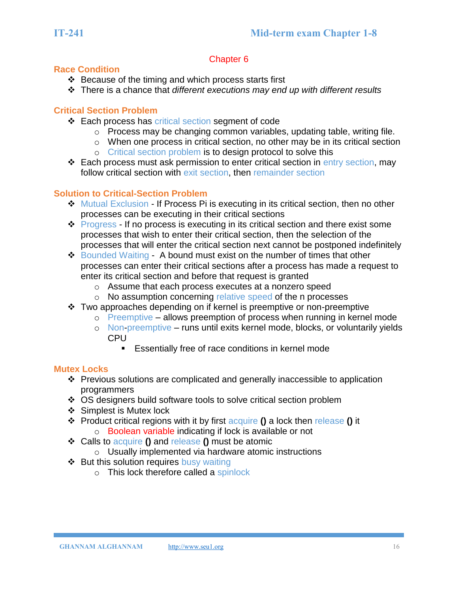### **Race Condition**

- ❖ Because of the timing and which process starts first
- ❖ There is a chance that *different executions may end up with different results*

## **Critical Section Problem**

- ❖ Each process has critical section segment of code
	- o Process may be changing common variables, updating table, writing file.
	- o When one process in critical section, no other may be in its critical section
	- o Critical section problem is to design protocol to solve this
- ❖ Each process must ask permission to enter critical section in entry section, may follow critical section with exit section, then remainder section

# **Solution to Critical-Section Problem**

- ❖ Mutual Exclusion If Process Pi is executing in its critical section, then no other processes can be executing in their critical sections
- **◆ Progress If no process is executing in its critical section and there exist some** processes that wish to enter their critical section, then the selection of the processes that will enter the critical section next cannot be postponed indefinitely
- ❖ Bounded Waiting A bound must exist on the number of times that other processes can enter their critical sections after a process has made a request to enter its critical section and before that request is granted
	- o Assume that each process executes at a nonzero speed
	- o No assumption concerning relative speed of the n processes
- ❖ Two approaches depending on if kernel is preemptive or non-preemptive
	- o Preemptive allows preemption of process when running in kernel mode
	- o Non-preemptive runs until exits kernel mode, blocks, or voluntarily yields CPU
		- Essentially free of race conditions in kernel mode

## **Mutex Locks**

- ❖ Previous solutions are complicated and generally inaccessible to application programmers
- ❖ OS designers build software tools to solve critical section problem
- ❖ Simplest is Mutex lock
- ❖ Product critical regions with it by first acquire **()** a lock then release **()** it o Boolean variable indicating if lock is available or not
- ❖ Calls to acquire **()** and release **()** must be atomic
	- o Usually implemented via hardware atomic instructions
- ❖ But this solution requires busy waiting
	- o This lock therefore called a spinlock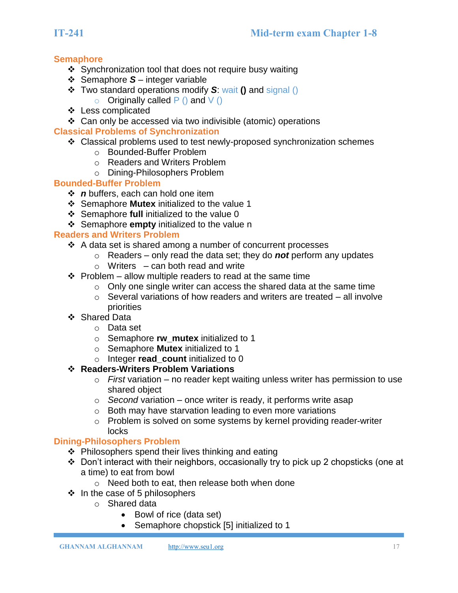# **Semaphore**

- ❖ Synchronization tool that does not require busy waiting
- ❖ Semaphore *S* integer variable
- ❖ Two standard operations modify *S*: wait **()** and signal ()  $\circ$  Originally called P () and V ()
- ❖ Less complicated
- ❖ Can only be accessed via two indivisible (atomic) operations

## **Classical Problems of Synchronization**

- ❖ Classical problems used to test newly-proposed synchronization schemes
	- o Bounded-Buffer Problem
	- o Readers and Writers Problem
	- o Dining-Philosophers Problem

## **Bounded-Buffer Problem**

- ❖ *n* buffers, each can hold one item
- ❖ Semaphore **Mutex** initialized to the value 1
- ❖ Semaphore **full** initialized to the value 0
- ❖ Semaphore **empty** initialized to the value n

## **Readers and Writers Problem**

- ❖ A data set is shared among a number of concurrent processes
	- o Readers only read the data set; they do *not* perform any updates
	- $\circ$  Writers can both read and write
- $\div$  Problem allow multiple readers to read at the same time
	- $\circ$  Only one single writer can access the shared data at the same time
	- o Several variations of how readers and writers are treated all involve priorities
- ❖ Shared Data
	- o Data set
	- o Semaphore **rw\_mutex** initialized to 1
	- o Semaphore **Mutex** initialized to 1
	- o Integer **read\_count** initialized to 0

## ❖ **Readers-Writers Problem Variations**

- o *First* variation no reader kept waiting unless writer has permission to use shared object
- o *Second* variation once writer is ready, it performs write asap
- o Both may have starvation leading to even more variations
- o Problem is solved on some systems by kernel providing reader-writer locks

## **Dining-Philosophers Problem**

- ❖ Philosophers spend their lives thinking and eating
- ❖ Don't interact with their neighbors, occasionally try to pick up 2 chopsticks (one at a time) to eat from bowl
	- o Need both to eat, then release both when done
- $\div$  In the case of 5 philosophers
	- o Shared data
		- Bowl of rice (data set)
		- Semaphore chopstick [5] initialized to 1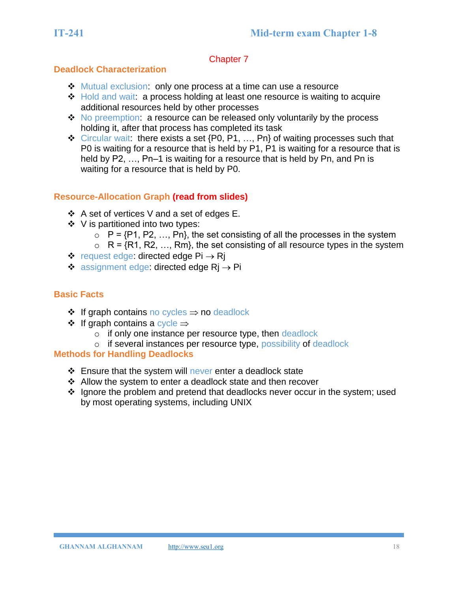## **Deadlock Characterization**

- ❖ Mutual exclusion: only one process at a time can use a resource
- ❖ Hold and wait: a process holding at least one resource is waiting to acquire additional resources held by other processes
- ❖ No preemption: a resource can be released only voluntarily by the process holding it, after that process has completed its task
- ❖ Circular wait: there exists a set {P0, P1, …, Pn} of waiting processes such that P0 is waiting for a resource that is held by P1, P1 is waiting for a resource that is held by P2, ..., Pn–1 is waiting for a resource that is held by Pn, and Pn is waiting for a resource that is held by P0.

# **Resource-Allocation Graph (read from slides)**

- ❖ A set of vertices V and a set of edges E.
- ❖ V is partitioned into two types:
	- $\circ$  P = {P1, P2, ..., Pn}, the set consisting of all the processes in the system
	- $\circ$  R = {R1, R2, ..., Rm}, the set consisting of all resource types in the system
- ❖ request edge: directed edge  $Pi \rightarrow RI$
- ❖ assignment edge: directed edge  $\text{R}$   $\rightarrow$  Pi

# **Basic Facts**

- **❖** If graph contains no cycles  $\Rightarrow$  no deadlock
- $\div$  If graph contains a cycle  $\Rightarrow$ 
	- o if only one instance per resource type, then deadlock
- o if several instances per resource type, possibility of deadlock

## **Methods for Handling Deadlocks**

- ❖ Ensure that the system will never enter a deadlock state
- ❖ Allow the system to enter a deadlock state and then recover
- ❖ Ignore the problem and pretend that deadlocks never occur in the system; used by most operating systems, including UNIX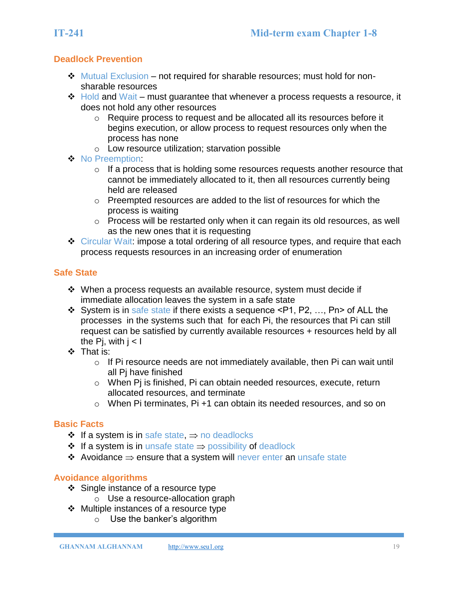# **Deadlock Prevention**

- ❖ Mutual Exclusion not required for sharable resources; must hold for nonsharable resources
- ❖ Hold and Wait must guarantee that whenever a process requests a resource, it does not hold any other resources
	- o Require process to request and be allocated all its resources before it begins execution, or allow process to request resources only when the process has none
	- o Low resource utilization; starvation possible
- ❖ No Preemption:
	- o If a process that is holding some resources requests another resource that cannot be immediately allocated to it, then all resources currently being held are released
	- o Preempted resources are added to the list of resources for which the process is waiting
	- o Process will be restarted only when it can regain its old resources, as well as the new ones that it is requesting
- ❖ Circular Wait: impose a total ordering of all resource types, and require that each process requests resources in an increasing order of enumeration

# **Safe State**

- ❖ When a process requests an available resource, system must decide if immediate allocation leaves the system in a safe state
- ❖ System is in safe state if there exists a sequence <P1, P2, …, Pn> of ALL the processes in the systems such that for each Pi, the resources that Pi can still request can be satisfied by currently available resources + resources held by all the Pi, with  $i < I$
- ❖ That is:
	- o If Pi resource needs are not immediately available, then Pi can wait until all Pj have finished
	- o When Pj is finished, Pi can obtain needed resources, execute, return allocated resources, and terminate
	- o When Pi terminates, Pi +1 can obtain its needed resources, and so on

## **Basic Facts**

- **❖** If a system is in safe state,  $\Rightarrow$  no deadlocks
- $\div$  If a system is in unsafe state  $\Rightarrow$  possibility of deadlock
- ❖ Avoidance ensure that a system will never enter an unsafe state

## **Avoidance algorithms**

- ❖ Single instance of a resource type
	- o Use a resource-allocation graph
- ❖ Multiple instances of a resource type
	- o Use the banker's algorithm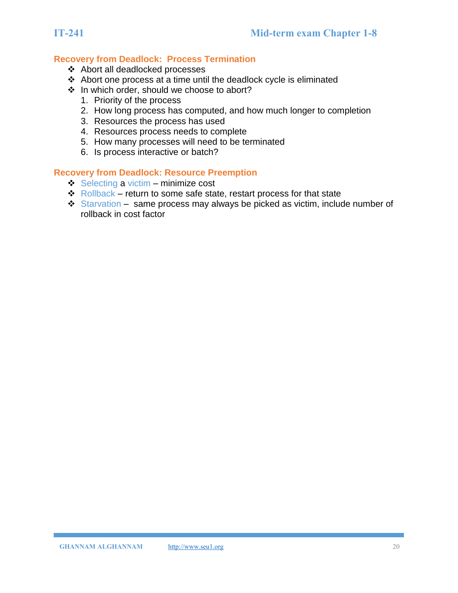# **Recovery from Deadlock: Process Termination**

- ❖ Abort all deadlocked processes
- ❖ Abort one process at a time until the deadlock cycle is eliminated
- ❖ In which order, should we choose to abort?
	- 1. Priority of the process
	- 2. How long process has computed, and how much longer to completion
	- 3. Resources the process has used
	- 4. Resources process needs to complete
	- 5. How many processes will need to be terminated
	- 6. Is process interactive or batch?

#### **Recovery from Deadlock: Resource Preemption**

- ❖ Selecting a victim minimize cost
- ❖ Rollback return to some safe state, restart process for that state
- ❖ Starvation same process may always be picked as victim, include number of rollback in cost factor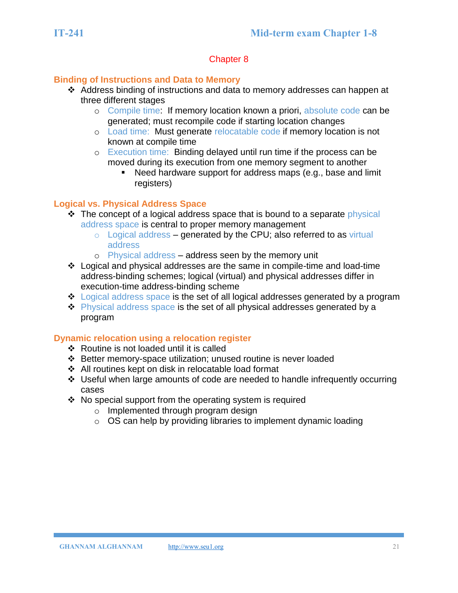## **Binding of Instructions and Data to Memory**

- ❖ Address binding of instructions and data to memory addresses can happen at three different stages
	- o Compile time: If memory location known a priori, absolute code can be generated; must recompile code if starting location changes
	- o Load time: Must generate relocatable code if memory location is not known at compile time
	- o Execution time: Binding delayed until run time if the process can be moved during its execution from one memory segment to another
		- Need hardware support for address maps (e.g., base and limit registers)

#### **Logical vs. Physical Address Space**

- ❖ The concept of a logical address space that is bound to a separate physical address space is central to proper memory management
	- $\circ$  Logical address generated by the CPU; also referred to as virtual address
	- o Physical address address seen by the memory unit
- ❖ Logical and physical addresses are the same in compile-time and load-time address-binding schemes; logical (virtual) and physical addresses differ in execution-time address-binding scheme
- ❖ Logical address space is the set of all logical addresses generated by a program
- ❖ Physical address space is the set of all physical addresses generated by a program

## **Dynamic relocation using a relocation register**

- ❖ Routine is not loaded until it is called
- ❖ Better memory-space utilization; unused routine is never loaded
- ❖ All routines kept on disk in relocatable load format
- ❖ Useful when large amounts of code are needed to handle infrequently occurring cases
- ❖ No special support from the operating system is required
	- o Implemented through program design
	- $\circ$  OS can help by providing libraries to implement dynamic loading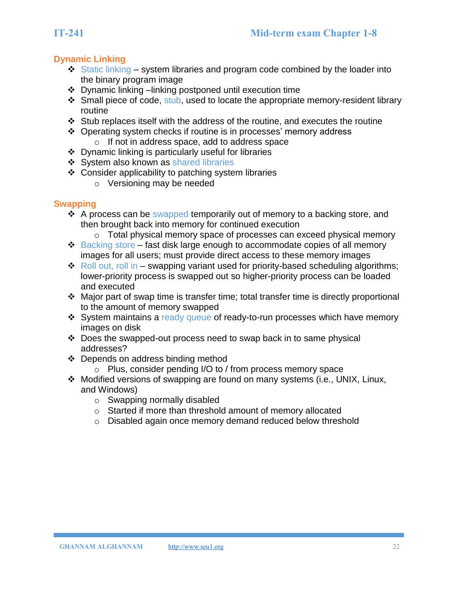# **Dynamic Linking**

- $\div$  Static linking system libraries and program code combined by the loader into the binary program image
- ❖ Dynamic linking –linking postponed until execution time
- ❖ Small piece of code, stub, used to locate the appropriate memory-resident library routine
- ❖ Stub replaces itself with the address of the routine, and executes the routine
- ❖ Operating system checks if routine is in processes' memory address
	- o If not in address space, add to address space
- ❖ Dynamic linking is particularly useful for libraries
- ❖ System also known as shared libraries
- ❖ Consider applicability to patching system libraries
	- o Versioning may be needed

# **Swapping**

- ❖ A process can be swapped temporarily out of memory to a backing store, and then brought back into memory for continued execution
	- o Total physical memory space of processes can exceed physical memory
- ❖ Backing store fast disk large enough to accommodate copies of all memory images for all users; must provide direct access to these memory images
- $\triangle$  Roll out, roll in swapping variant used for priority-based scheduling algorithms; lower-priority process is swapped out so higher-priority process can be loaded and executed
- ❖ Major part of swap time is transfer time; total transfer time is directly proportional to the amount of memory swapped
- ❖ System maintains a ready queue of ready-to-run processes which have memory images on disk
- ❖ Does the swapped-out process need to swap back in to same physical addresses?
- ❖ Depends on address binding method
	- o Plus, consider pending I/O to / from process memory space
- ❖ Modified versions of swapping are found on many systems (i.e., UNIX, Linux, and Windows)
	- o Swapping normally disabled
	- o Started if more than threshold amount of memory allocated
	- o Disabled again once memory demand reduced below threshold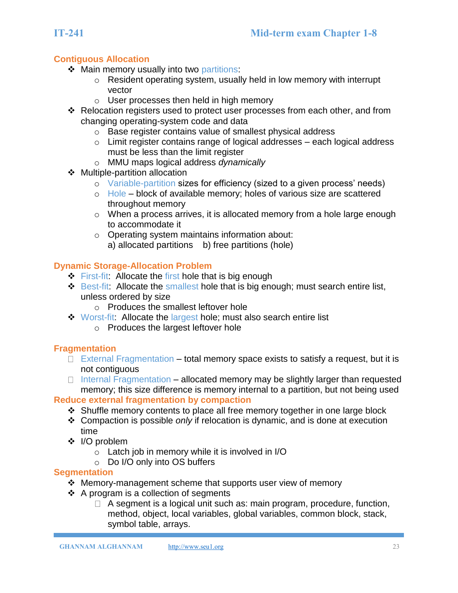```
GHANNAM ALGHANNAMhttp://www.seu1.org 23
```
# **Contiguous Allocation**

- ❖ Main memory usually into two partitions:
	- o Resident operating system, usually held in low memory with interrupt vector
	- o User processes then held in high memory
- ❖ Relocation registers used to protect user processes from each other, and from changing operating-system code and data
	- o Base register contains value of smallest physical address
	- $\circ$  Limit register contains range of logical addresses each logical address must be less than the limit register
	- o MMU maps logical address *dynamically*
- ❖ Multiple-partition allocation
	- o Variable-partition sizes for efficiency (sized to a given process' needs)
	- o Hole block of available memory; holes of various size are scattered throughout memory
	- o When a process arrives, it is allocated memory from a hole large enough to accommodate it
	- o Operating system maintains information about: a) allocated partitions b) free partitions (hole)

# **Dynamic Storage-Allocation Problem**

- **First-fit: Allocate the first hole that is big enough**
- ❖ Best-fit: Allocate the smallest hole that is big enough; must search entire list, unless ordered by size
	- o Produces the smallest leftover hole
- ❖ Worst-fit: Allocate the largest hole; must also search entire list
	- o Produces the largest leftover hole

# **Fragmentation**

- $\Box$  External Fragmentation total memory space exists to satisfy a request, but it is not contiguous
- $\Box$  Internal Fragmentation allocated memory may be slightly larger than requested memory; this size difference is memory internal to a partition, but not being used

# **Reduce external fragmentation by compaction**

- ❖ Shuffle memory contents to place all free memory together in one large block
- ❖ Compaction is possible *only* if relocation is dynamic, and is done at execution time
- ❖ I/O problem
	- o Latch job in memory while it is involved in I/O
	- o Do I/O only into OS buffers

# **Segmentation**

- ❖ Memory-management scheme that supports user view of memory
- ❖ A program is a collection of segments
	- $\Box$  A segment is a logical unit such as: main program, procedure, function, method, object, local variables, global variables, common block, stack, symbol table, arrays.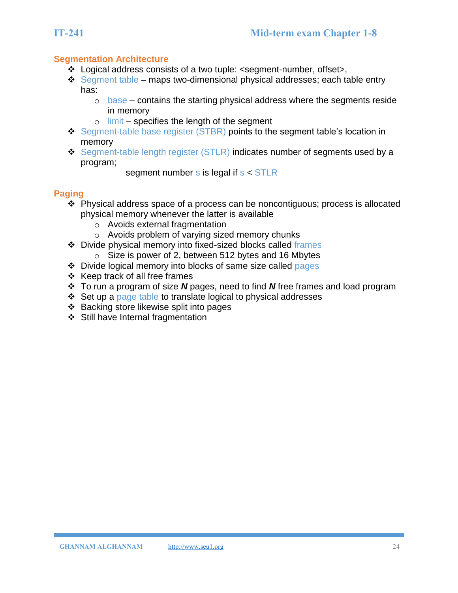# **Segmentation Architecture**

- ❖ Logical address consists of a two tuple: <segment-number, offset>,
- **❖** Segment table maps two-dimensional physical addresses; each table entry has:
	- o base contains the starting physical address where the segments reside in memory
	- $\circ$  limit specifies the length of the segment
- ❖ Segment-table base register (STBR) points to the segment table's location in memory
- ❖ Segment-table length register (STLR) indicates number of segments used by a program;
	- segment number  $s$  is legal if  $s <$  STLR

# **Paging**

- ❖ Physical address space of a process can be noncontiguous; process is allocated physical memory whenever the latter is available
	- o Avoids external fragmentation
	- o Avoids problem of varying sized memory chunks
- ❖ Divide physical memory into fixed-sized blocks called frames  $\circ$  Size is power of 2, between 512 bytes and 16 Mbytes
- ❖ Divide logical memory into blocks of same size called pages
- ❖ Keep track of all free frames
- ❖ To run a program of size *N* pages, need to find *N* free frames and load program
- ❖ Set up a page table to translate logical to physical addresses
- ❖ Backing store likewise split into pages
- ❖ Still have Internal fragmentation